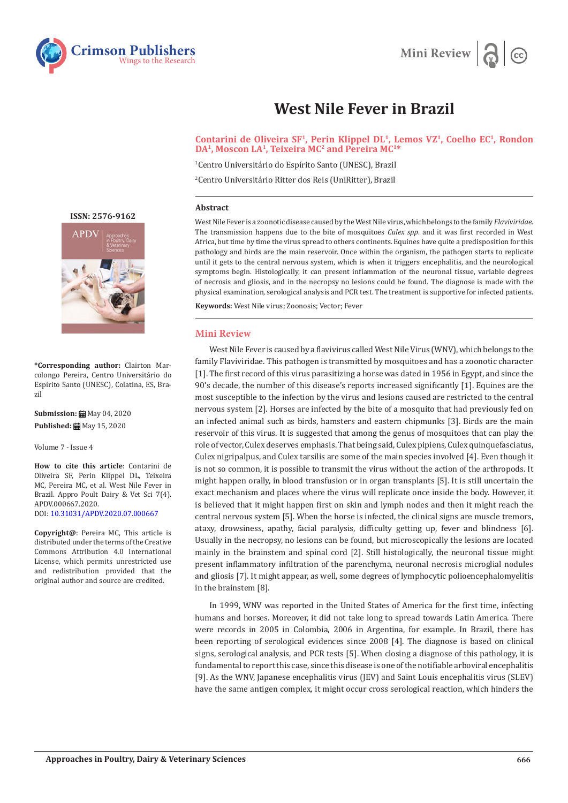



# **West Nile Fever in Brazil**

Contarini de Oliveira SF<sup>1</sup>, Perin Klippel DL<sup>1</sup>, Lemos VZ<sup>1</sup>, Coelho EC<sup>1</sup>, Rondon **DA1, Moscon LA1, Teixeira MC2 and Pereira MC1\***

1 Centro Universitário do Espírito Santo (UNESC), Brazil

2 Centro Universitário Ritter dos Reis (UniRitter), Brazil

### **Abstract**

West Nile Fever is a zoonotic disease caused by the West Nile virus, which belongs to the family *Flaviviridae*. The transmission happens due to the bite of mosquitoes *Culex spp*. and it was first recorded in West Africa, but time by time the virus spread to others continents. Equines have quite a predisposition for this pathology and birds are the main reservoir. Once within the organism, the pathogen starts to replicate until it gets to the central nervous system, which is when it triggers encephalitis, and the neurological symptoms begin. Histologically, it can present inflammation of the neuronal tissue, variable degrees of necrosis and gliosis, and in the necropsy no lesions could be found. The diagnose is made with the physical examination, serological analysis and PCR test. The treatment is supportive for infected patients.

**Keywords:** West Nile virus; Zoonosis; Vector; Fever

## **Mini Review**

West Nile Fever is caused by a flavivirus called West Nile Virus (WNV), which belongs to the family Flaviviridae. This pathogen is transmitted by mosquitoes and has a zoonotic character [1]. The first record of this virus parasitizing a horse was dated in 1956 in Egypt, and since the 90's decade, the number of this disease's reports increased significantly [1]. Equines are the most susceptible to the infection by the virus and lesions caused are restricted to the central nervous system [2]. Horses are infected by the bite of a mosquito that had previously fed on an infected animal such as birds, hamsters and eastern chipmunks [3]. Birds are the main reservoir of this virus. It is suggested that among the genus of mosquitoes that can play the role of vector, Culex deserves emphasis. That being said, Culex pipiens, Culex quinquefasciatus, Culex nigripalpus, and Culex tarsilis are some of the main species involved [4]. Even though it is not so common, it is possible to transmit the virus without the action of the arthropods. It might happen orally, in blood transfusion or in organ transplants [5]. It is still uncertain the exact mechanism and places where the virus will replicate once inside the body. However, it is believed that it might happen first on skin and lymph nodes and then it might reach the central nervous system [5]. When the horse is infected, the clinical signs are muscle tremors, ataxy, drowsiness, apathy, facial paralysis, difficulty getting up, fever and blindness [6]. Usually in the necropsy, no lesions can be found, but microscopically the lesions are located mainly in the brainstem and spinal cord [2]. Still histologically, the neuronal tissue might present inflammatory infiltration of the parenchyma, neuronal necrosis microglial nodules and gliosis [7]. It might appear, as well, some degrees of lymphocytic polioencephalomyelitis in the brainstem [8].

In 1999, WNV was reported in the United States of America for the first time, infecting humans and horses. Moreover, it did not take long to spread towards Latin America. There were records in 2005 in Colombia, 2006 in Argentina, for example. In Brazil, there has been reporting of serological evidences since 2008 [4]. The diagnose is based on clinical signs, serological analysis, and PCR tests [5]. When closing a diagnose of this pathology, it is fundamental to report this case, since this disease is one of the notifiable arboviral encephalitis [9]. As the WNV, Japanese encephalitis virus (JEV) and Saint Louis encephalitis virus (SLEV) have the same antigen complex, it might occur cross serological reaction, which hinders the

**[ISSN: 2576-9162](https://crimsonpublishers.com/apdv/)**



**\*Corresponding author:** Clairton Marcolongo Pereira, Centro Universitário do Espírito Santo (UNESC), Colatina, ES, Brazil

**Submission: 曲** May 04, 2020 **Published:** May 15, 2020

Volume 7 - Issue 4

**How to cite this article**: Contarini de Oliveira SF, Perin Klippel DL, Teixeira MC, Pereira MC, et al. West Nile Fever in Brazil. Appro Poult Dairy & Vet Sci 7(4). APDV.000667.2020. DOI: [10.31031/APDV.2020.07.0006](http://dx.doi.org/10.31031/APDV.2020.07.000667)67

**Copyright@**: Pereira MC, This article is distributed under the terms of the Creative Commons Attribution 4.0 International License, which permits unrestricted use and redistribution provided that the original author and source are credited.